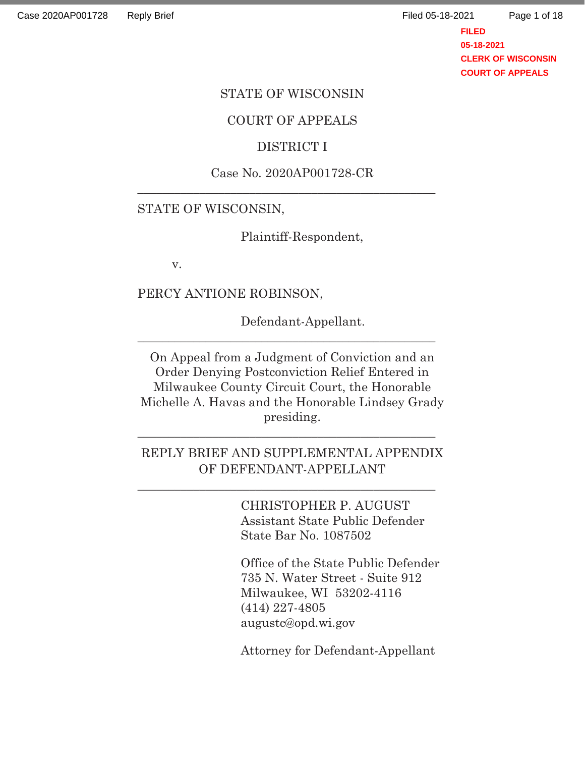Page 1 of 18

**FILED 05-18-2021 CLERK OF WISCONSIN COURT OF APPEALS**

#### STATE OF WISCONSIN

#### COURT OF APPEALS

### DISTRICT I

### Case No. 2020AP001728-CR \_\_\_\_\_\_\_\_\_\_\_\_\_\_\_\_\_\_\_\_\_\_\_\_\_\_\_\_\_\_\_\_\_\_\_\_\_\_\_\_\_\_\_\_\_\_\_\_

#### STATE OF WISCONSIN,

Plaintiff-Respondent,

v.

PERCY ANTIONE ROBINSON,

Defendant-Appellant.

On Appeal from a Judgment of Conviction and an Order Denying Postconviction Relief Entered in Milwaukee County Circuit Court, the Honorable Michelle A. Havas and the Honorable Lindsey Grady presiding.

\_\_\_\_\_\_\_\_\_\_\_\_\_\_\_\_\_\_\_\_\_\_\_\_\_\_\_\_\_\_\_\_\_\_\_\_\_\_\_\_\_\_\_\_\_\_\_\_

### REPLY BRIEF AND SUPPLEMENTAL APPENDIX OF DEFENDANT-APPELLANT

 $\overline{\phantom{a}}$  ,  $\overline{\phantom{a}}$  ,  $\overline{\phantom{a}}$  ,  $\overline{\phantom{a}}$  ,  $\overline{\phantom{a}}$  ,  $\overline{\phantom{a}}$  ,  $\overline{\phantom{a}}$  ,  $\overline{\phantom{a}}$  ,  $\overline{\phantom{a}}$  ,  $\overline{\phantom{a}}$  ,  $\overline{\phantom{a}}$  ,  $\overline{\phantom{a}}$  ,  $\overline{\phantom{a}}$  ,  $\overline{\phantom{a}}$  ,  $\overline{\phantom{a}}$  ,  $\overline{\phantom{a}}$ 

\_\_\_\_\_\_\_\_\_\_\_\_\_\_\_\_\_\_\_\_\_\_\_\_\_\_\_\_\_\_\_\_\_\_\_\_\_\_\_\_\_\_\_\_\_\_\_\_

CHRISTOPHER P. AUGUST Assistant State Public Defender State Bar No. 1087502

Office of the State Public Defender 735 N. Water Street - Suite 912 Milwaukee, WI 53202-4116 (414) 227-4805 augustc@opd.wi.gov

Attorney for Defendant-Appellant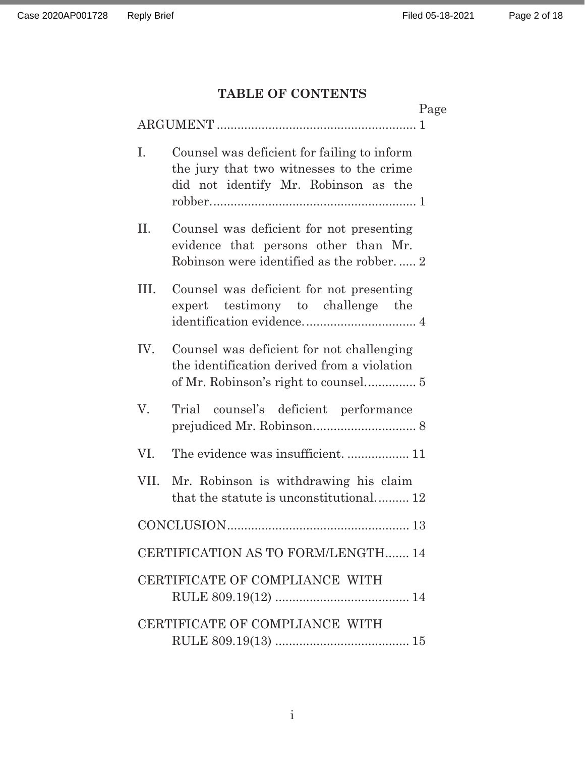# **TABLE OF CONTENTS**

|      |                                                                                                                                 | Page |
|------|---------------------------------------------------------------------------------------------------------------------------------|------|
|      |                                                                                                                                 |      |
| Ι.   | Counsel was deficient for failing to inform<br>the jury that two witnesses to the crime<br>did not identify Mr. Robinson as the |      |
| П.   | Counsel was deficient for not presenting<br>evidence that persons other than Mr.<br>Robinson were identified as the robber 2    |      |
| III. | Counsel was deficient for not presenting<br>expert testimony to challenge the                                                   |      |
| IV.  | Counsel was deficient for not challenging<br>the identification derived from a violation                                        |      |
| V.   | Trial counsel's deficient performance                                                                                           |      |
| VI.  |                                                                                                                                 |      |
| VII. | Mr. Robinson is withdrawing his claim<br>that the statute is unconstitutional 12                                                |      |
|      | CONCLUSION.                                                                                                                     | 13   |
|      | CERTIFICATION AS TO FORM/LENGTH 14                                                                                              |      |
|      | CERTIFICATE OF COMPLIANCE WITH                                                                                                  |      |
|      | CERTIFICATE OF COMPLIANCE WITH                                                                                                  |      |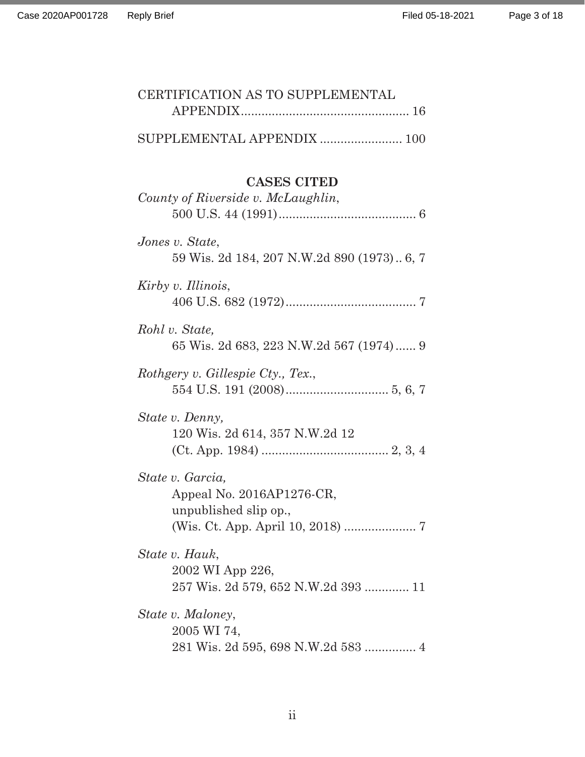| CERTIFICATION AS TO SUPPLEMENTAL                                          |
|---------------------------------------------------------------------------|
| SUPPLEMENTAL APPENDIX  100                                                |
| <b>CASES CITED</b><br>County of Riverside v. McLaughlin,                  |
| Jones v. State,<br>59 Wis. 2d 184, 207 N.W.2d 890 (1973) 6, 7             |
| Kirby v. Illinois,                                                        |
| Rohl v. State,<br>65 Wis. 2d 683, 223 N.W.2d 567 (1974) 9                 |
| Rothgery v. Gillespie Cty., Tex.,                                         |
| State v. Denny,<br>120 Wis. 2d 614, 357 N.W.2d 12                         |
| State v. Garcia,<br>Appeal No. 2016AP1276-CR,<br>unpublished slip op.,    |
| State v. Hauk,<br>2002 WI App 226,<br>257 Wis. 2d 579, 652 N.W.2d 393  11 |
| State v. Maloney,<br>2005 WI 74,<br>281 Wis. 2d 595, 698 N.W.2d 583  4    |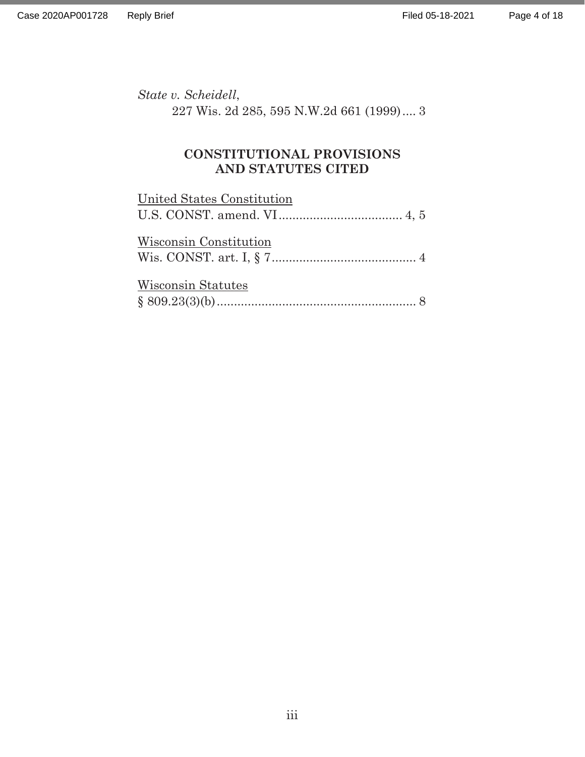*State v. Scheidell*,

227 Wis. 2d 285, 595 N.W.2d 661 (1999) .... 3

## **CONSTITUTIONAL PROVISIONS AND STATUTES CITED**

| United States Constitution |  |
|----------------------------|--|
|                            |  |
| Wisconsin Constitution     |  |
| Wisconsin Statutes         |  |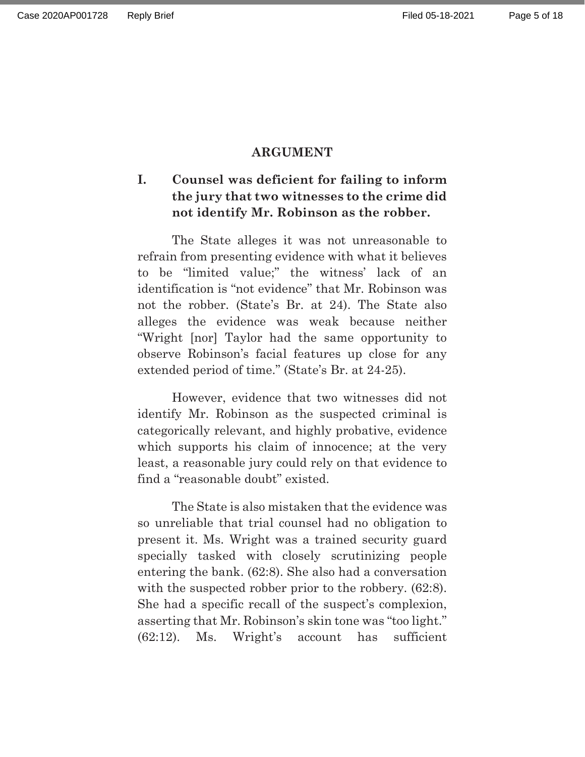### **ARGUMENT**

## **I. Counsel was deficient for failing to inform the jury that two witnesses to the crime did not identify Mr. Robinson as the robber.**

The State alleges it was not unreasonable to refrain from presenting evidence with what it believes to be "limited value;" the witness' lack of an identification is "not evidence" that Mr. Robinson was not the robber. (State's Br. at 24). The State also alleges the evidence was weak because neither "Wright [nor] Taylor had the same opportunity to observe Robinson's facial features up close for any extended period of time." (State's Br. at 24-25).

However, evidence that two witnesses did not identify Mr. Robinson as the suspected criminal is categorically relevant, and highly probative, evidence which supports his claim of innocence; at the very least, a reasonable jury could rely on that evidence to find a "reasonable doubt" existed.

The State is also mistaken that the evidence was so unreliable that trial counsel had no obligation to present it. Ms. Wright was a trained security guard specially tasked with closely scrutinizing people entering the bank. (62:8). She also had a conversation with the suspected robber prior to the robbery.  $(62.8)$ . She had a specific recall of the suspect's complexion, asserting that Mr. Robinson's skin tone was "too light." (62:12). Ms. Wright's account has sufficient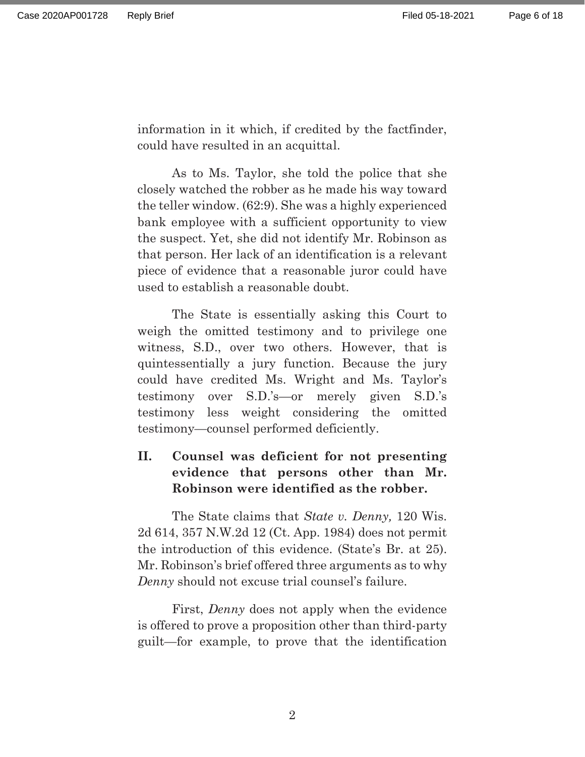information in it which, if credited by the factfinder, could have resulted in an acquittal.

As to Ms. Taylor, she told the police that she closely watched the robber as he made his way toward the teller window. (62:9). She was a highly experienced bank employee with a sufficient opportunity to view the suspect. Yet, she did not identify Mr. Robinson as that person. Her lack of an identification is a relevant piece of evidence that a reasonable juror could have used to establish a reasonable doubt.

The State is essentially asking this Court to weigh the omitted testimony and to privilege one witness, S.D., over two others. However, that is quintessentially a jury function. Because the jury could have credited Ms. Wright and Ms. Taylor's testimony over S.D.'s—or merely given S.D.'s testimony less weight considering the omitted testimony—counsel performed deficiently.

## **II. Counsel was deficient for not presenting evidence that persons other than Mr. Robinson were identified as the robber.**

 The State claims that *State v. Denny,* 120 Wis. 2d 614, 357 N.W.2d 12 (Ct. App. 1984) does not permit the introduction of this evidence. (State's Br. at 25). Mr. Robinson's brief offered three arguments as to why *Denny* should not excuse trial counsel's failure.

First, *Denny* does not apply when the evidence is offered to prove a proposition other than third-party guilt—for example, to prove that the identification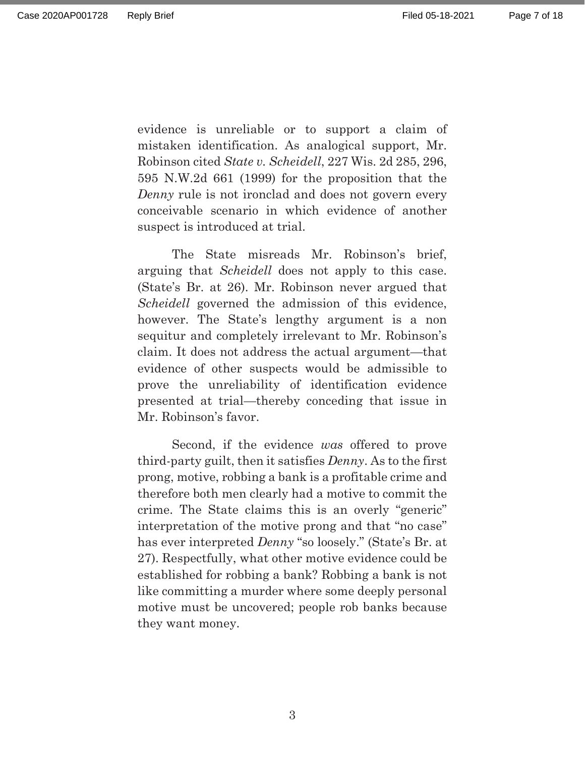evidence is unreliable or to support a claim of mistaken identification. As analogical support, Mr. Robinson cited *State v. Scheidell*, 227 Wis. 2d 285, 296, 595 N.W.2d 661 (1999) for the proposition that the *Denny* rule is not ironclad and does not govern every conceivable scenario in which evidence of another suspect is introduced at trial.

The State misreads Mr. Robinson's brief, arguing that *Scheidell* does not apply to this case. (State's Br. at 26). Mr. Robinson never argued that *Scheidell* governed the admission of this evidence, however. The State's lengthy argument is a non sequitur and completely irrelevant to Mr. Robinson's claim. It does not address the actual argument—that evidence of other suspects would be admissible to prove the unreliability of identification evidence presented at trial—thereby conceding that issue in Mr. Robinson's favor.

Second, if the evidence *was* offered to prove third-party guilt, then it satisfies *Denny*. As to the first prong, motive, robbing a bank is a profitable crime and therefore both men clearly had a motive to commit the crime. The State claims this is an overly "generic" interpretation of the motive prong and that "no case" has ever interpreted *Denny* "so loosely." (State's Br. at 27). Respectfully, what other motive evidence could be established for robbing a bank? Robbing a bank is not like committing a murder where some deeply personal motive must be uncovered; people rob banks because they want money.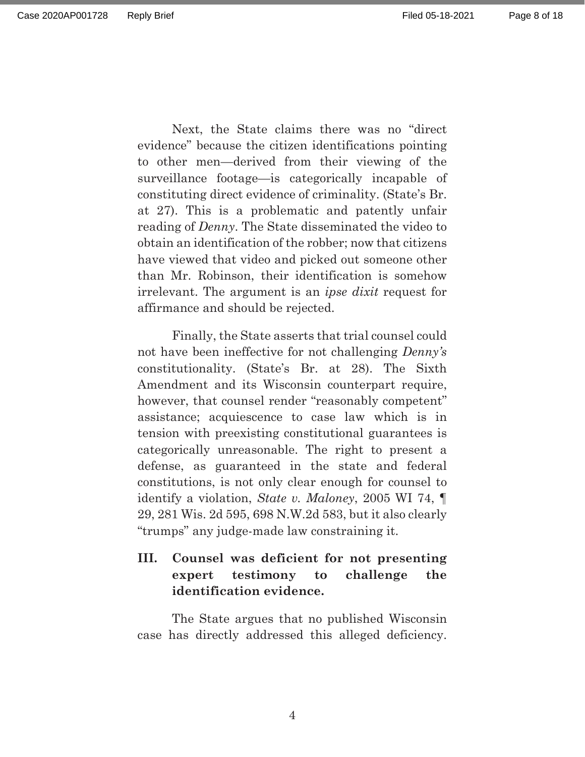Page 8 of 18

Next, the State claims there was no "direct evidence" because the citizen identifications pointing to other men—derived from their viewing of the surveillance footage—is categorically incapable of constituting direct evidence of criminality. (State's Br. at 27). This is a problematic and patently unfair reading of *Denny*. The State disseminated the video to obtain an identification of the robber; now that citizens have viewed that video and picked out someone other than Mr. Robinson, their identification is somehow irrelevant. The argument is an *ipse dixit* request for affirmance and should be rejected.

Finally, the State asserts that trial counsel could not have been ineffective for not challenging *Denny's* constitutionality. (State's Br. at 28). The Sixth Amendment and its Wisconsin counterpart require, however, that counsel render "reasonably competent" assistance; acquiescence to case law which is in tension with preexisting constitutional guarantees is categorically unreasonable. The right to present a defense, as guaranteed in the state and federal constitutions, is not only clear enough for counsel to identify a violation, *State v. Maloney*, 2005 WI 74, ¶ 29, 281 Wis. 2d 595, 698 N.W.2d 583, but it also clearly "trumps" any judge-made law constraining it.

## **III. Counsel was deficient for not presenting expert testimony to challenge the identification evidence.**

 The State argues that no published Wisconsin case has directly addressed this alleged deficiency.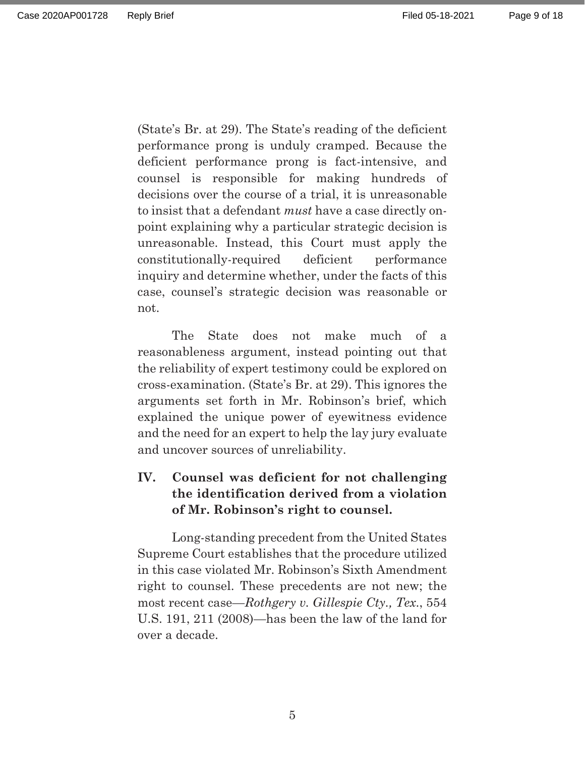(State's Br. at 29). The State's reading of the deficient performance prong is unduly cramped. Because the deficient performance prong is fact-intensive, and counsel is responsible for making hundreds of decisions over the course of a trial, it is unreasonable to insist that a defendant *must* have a case directly onpoint explaining why a particular strategic decision is unreasonable. Instead, this Court must apply the constitutionally-required deficient performance inquiry and determine whether, under the facts of this case, counsel's strategic decision was reasonable or not.

 The State does not make much of a reasonableness argument, instead pointing out that the reliability of expert testimony could be explored on cross-examination. (State's Br. at 29). This ignores the arguments set forth in Mr. Robinson's brief, which explained the unique power of eyewitness evidence and the need for an expert to help the lay jury evaluate and uncover sources of unreliability.

## **IV. Counsel was deficient for not challenging the identification derived from a violation of Mr. Robinson's right to counsel.**

Long-standing precedent from the United States Supreme Court establishes that the procedure utilized in this case violated Mr. Robinson's Sixth Amendment right to counsel. These precedents are not new; the most recent case—*Rothgery v. Gillespie Cty., Tex*., 554 U.S. 191, 211 (2008)—has been the law of the land for over a decade.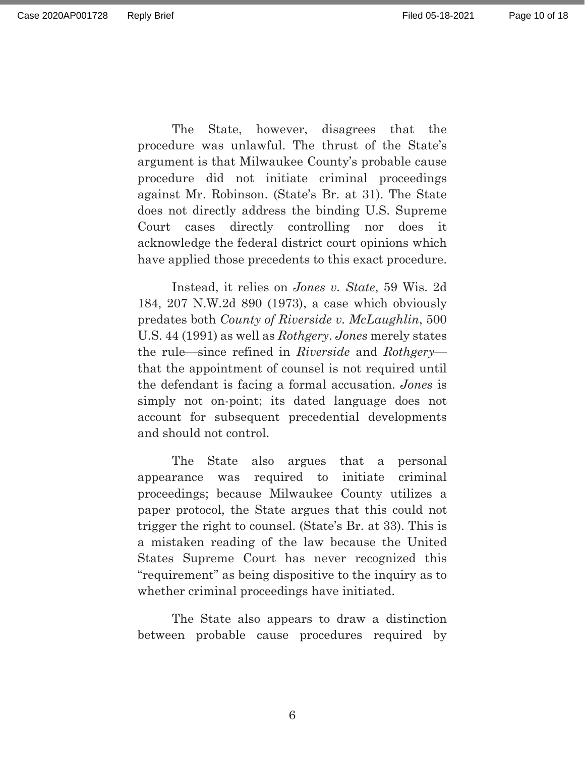Page 10 of 18

The State, however, disagrees that the procedure was unlawful. The thrust of the State's argument is that Milwaukee County's probable cause procedure did not initiate criminal proceedings against Mr. Robinson. (State's Br. at 31). The State does not directly address the binding U.S. Supreme Court cases directly controlling nor does it acknowledge the federal district court opinions which have applied those precedents to this exact procedure.

Instead, it relies on *Jones v. State*, 59 Wis. 2d 184, 207 N.W.2d 890 (1973), a case which obviously predates both *County of Riverside v. McLaughlin*, 500 U.S. 44 (1991) as well as *Rothgery*. *Jones* merely states the rule—since refined in *Riverside* and *Rothgery* that the appointment of counsel is not required until the defendant is facing a formal accusation. *Jones* is simply not on-point; its dated language does not account for subsequent precedential developments and should not control.

The State also argues that a personal appearance was required to initiate criminal proceedings; because Milwaukee County utilizes a paper protocol, the State argues that this could not trigger the right to counsel. (State's Br. at 33). This is a mistaken reading of the law because the United States Supreme Court has never recognized this "requirement" as being dispositive to the inquiry as to whether criminal proceedings have initiated.

The State also appears to draw a distinction between probable cause procedures required by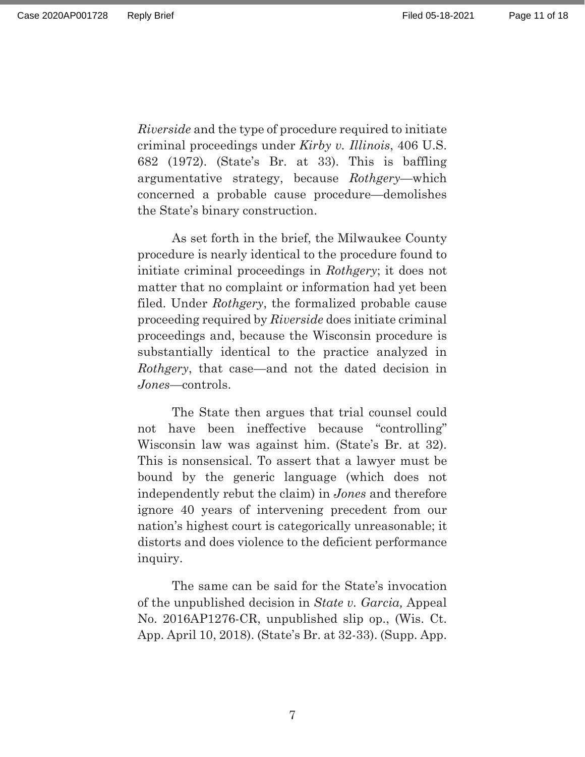*Riverside* and the type of procedure required to initiate criminal proceedings under *Kirby v. Illinois*, 406 U.S. 682 (1972). (State's Br. at 33). This is baffling argumentative strategy, because *Rothgery*—which concerned a probable cause procedure—demolishes the State's binary construction.

As set forth in the brief, the Milwaukee County procedure is nearly identical to the procedure found to initiate criminal proceedings in *Rothgery*; it does not matter that no complaint or information had yet been filed. Under *Rothgery*, the formalized probable cause proceeding required by *Riverside* does initiate criminal proceedings and, because the Wisconsin procedure is substantially identical to the practice analyzed in *Rothgery*, that case—and not the dated decision in *Jones*—controls.

The State then argues that trial counsel could not have been ineffective because "controlling" Wisconsin law was against him. (State's Br. at 32). This is nonsensical. To assert that a lawyer must be bound by the generic language (which does not independently rebut the claim) in *Jones* and therefore ignore 40 years of intervening precedent from our nation's highest court is categorically unreasonable; it distorts and does violence to the deficient performance inquiry.

The same can be said for the State's invocation of the unpublished decision in *State v. Garcia,* Appeal No. 2016AP1276-CR, unpublished slip op., (Wis. Ct. App. April 10, 2018). (State's Br. at 32-33). (Supp. App.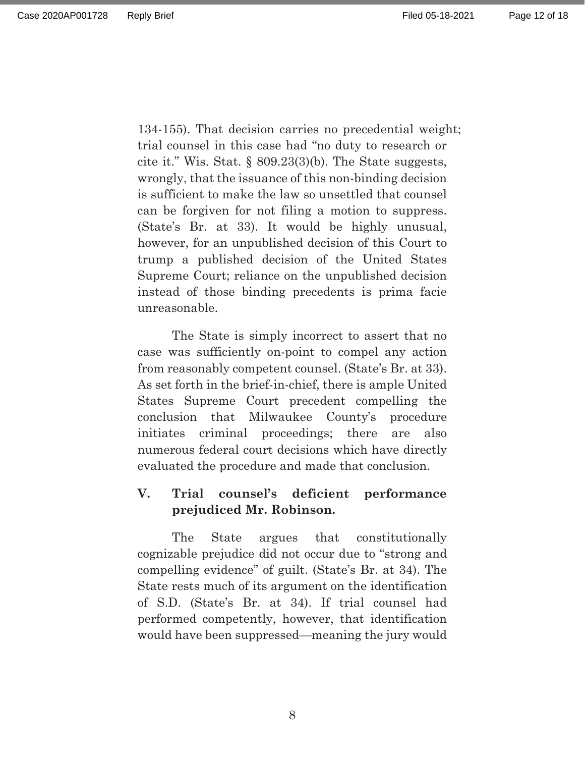134-15). That decision carries no precedential weight; trial counsel in this case had "no duty to research or cite it." Wis. Stat. § 809.23(3)(b). The State suggests, wrongly, that the issuance of this non-binding decision is sufficient to make the law so unsettled that counsel can be forgiven for not filing a motion to suppress. (State's Br. at 33). It would be highly unusual, however, for an unpublished decision of this Court to trump a published decision of the United States Supreme Court; reliance on the unpublished decision instead of those binding precedents is prima facie unreasonable.

The State is simply incorrect to assert that no case was sufficiently on-point to compel any action from reasonably competent counsel. (State's Br. at 33). As set forth in the brief-in-chief, there is ample United States Supreme Court precedent compelling the conclusion that Milwaukee County's procedure initiates criminal proceedings; there are also numerous federal court decisions which have directly evaluated the procedure and made that conclusion.

### **V. Trial counsel's deficient performance prejudiced Mr. Robinson.**

The State argues that constitutionally cognizable prejudice did not occur due to "strong and compelling evidence" of guilt. (State's Br. at 34). The State rests much of its argument on the identification of S.D. (State's Br. at 34). If trial counsel had performed competently, however, that identification would have been suppressed—meaning the jury would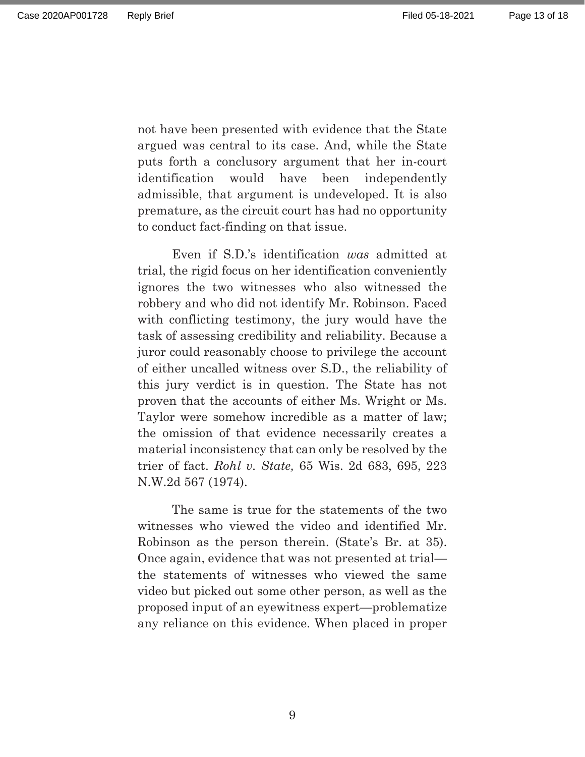not have been presented with evidence that the State argued was central to its case. And, while the State puts forth a conclusory argument that her in-court identification would have been independently admissible, that argument is undeveloped. It is also premature, as the circuit court has had no opportunity to conduct fact-finding on that issue.

 Even if S.D.'s identification *was* admitted at trial, the rigid focus on her identification conveniently ignores the two witnesses who also witnessed the robbery and who did not identify Mr. Robinson. Faced with conflicting testimony, the jury would have the task of assessing credibility and reliability. Because a juror could reasonably choose to privilege the account of either uncalled witness over S.D., the reliability of this jury verdict is in question. The State has not proven that the accounts of either Ms. Wright or Ms. Taylor were somehow incredible as a matter of law; the omission of that evidence necessarily creates a material inconsistency that can only be resolved by the trier of fact. *Rohl v. State,* 65 Wis. 2d 683, 695, 223 N.W.2d 567 (1974).

The same is true for the statements of the two witnesses who viewed the video and identified Mr. Robinson as the person therein. (State's Br. at 35). Once again, evidence that was not presented at trial the statements of witnesses who viewed the same video but picked out some other person, as well as the proposed input of an eyewitness expert—problematize any reliance on this evidence. When placed in proper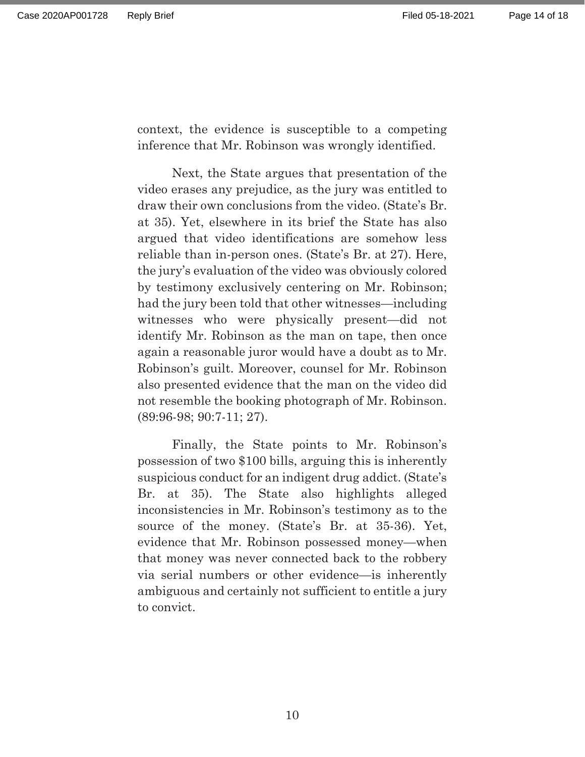context, the evidence is susceptible to a competing inference that Mr. Robinson was wrongly identified.

Next, the State argues that presentation of the video erases any prejudice, as the jury was entitled to draw their own conclusions from the video. (State's Br. at 35). Yet, elsewhere in its brief the State has also argued that video identifications are somehow less reliable than in-person ones. (State's Br. at 27). Here, the jury's evaluation of the video was obviously colored by testimony exclusively centering on Mr. Robinson; had the jury been told that other witnesses—including witnesses who were physically present—did not identify Mr. Robinson as the man on tape, then once again a reasonable juror would have a doubt as to Mr. Robinson's guilt. Moreover, counsel for Mr. Robinson also presented evidence that the man on the video did not resemble the booking photograph of Mr. Robinson. (89:96-98; 90:7-11; 27).

Finally, the State points to Mr. Robinson's possession of two \$100 bills, arguing this is inherently suspicious conduct for an indigent drug addict. (State's Br. at 35). The State also highlights alleged inconsistencies in Mr. Robinson's testimony as to the source of the money. (State's Br. at 35-36). Yet, evidence that Mr. Robinson possessed money—when that money was never connected back to the robbery via serial numbers or other evidence—is inherently ambiguous and certainly not sufficient to entitle a jury to convict.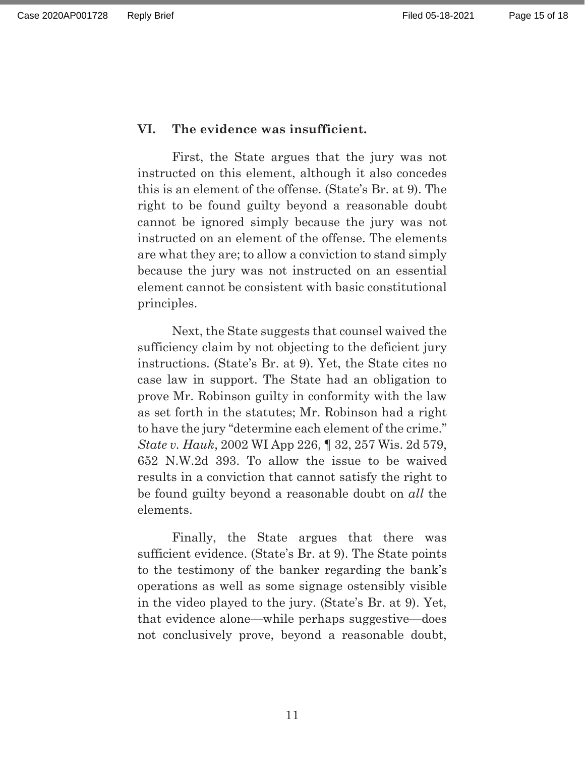#### **VI. The evidence was insufficient.**

 First, the State argues that the jury was not instructed on this element, although it also concedes this is an element of the offense. (State's Br. at 9). The right to be found guilty beyond a reasonable doubt cannot be ignored simply because the jury was not instructed on an element of the offense. The elements are what they are; to allow a conviction to stand simply because the jury was not instructed on an essential element cannot be consistent with basic constitutional principles.

Next, the State suggests that counsel waived the sufficiency claim by not objecting to the deficient jury instructions. (State's Br. at 9). Yet, the State cites no case law in support. The State had an obligation to prove Mr. Robinson guilty in conformity with the law as set forth in the statutes; Mr. Robinson had a right to have the jury "determine each element of the crime." *State v. Hauk*, 2002 WI App 226, ¶ 32, 257 Wis. 2d 579, 652 N.W.2d 393. To allow the issue to be waived results in a conviction that cannot satisfy the right to be found guilty beyond a reasonable doubt on *all* the elements.

Finally, the State argues that there was sufficient evidence. (State's Br. at 9). The State points to the testimony of the banker regarding the bank's operations as well as some signage ostensibly visible in the video played to the jury. (State's Br. at 9). Yet, that evidence alone—while perhaps suggestive—does not conclusively prove, beyond a reasonable doubt,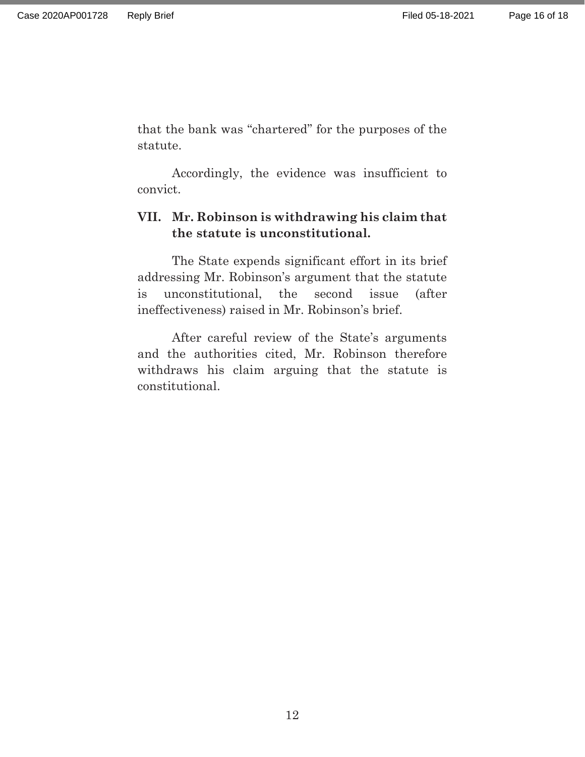that the bank was "chartered" for the purposes of the statute.

Accordingly, the evidence was insufficient to convict.

## **VII. Mr. Robinson is withdrawing his claim that the statute is unconstitutional.**

The State expends significant effort in its brief addressing Mr. Robinson's argument that the statute is unconstitutional, the second issue (after ineffectiveness) raised in Mr. Robinson's brief.

After careful review of the State's arguments and the authorities cited, Mr. Robinson therefore withdraws his claim arguing that the statute is constitutional.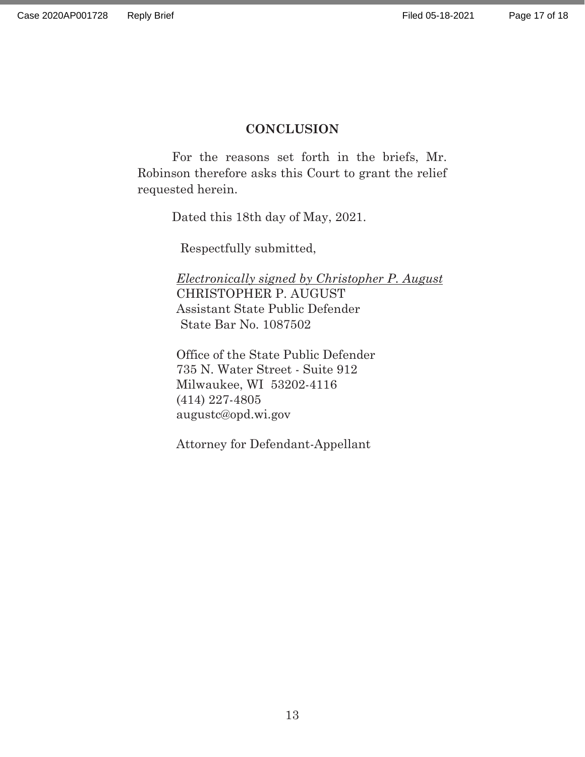#### **CONCLUSION**

For the reasons set forth in the briefs, Mr. Robinson therefore asks this Court to grant the relief requested herein.

Dated this 18th day of May, 2021.

Respectfully submitted,

*Electronically signed by Christopher P. August*  CHRISTOPHER P. AUGUST Assistant State Public Defender State Bar No. 1087502

Office of the State Public Defender 735 N. Water Street - Suite 912 Milwaukee, WI 53202-4116 (414) 227-4805 augustc@opd.wi.gov

Attorney for Defendant-Appellant